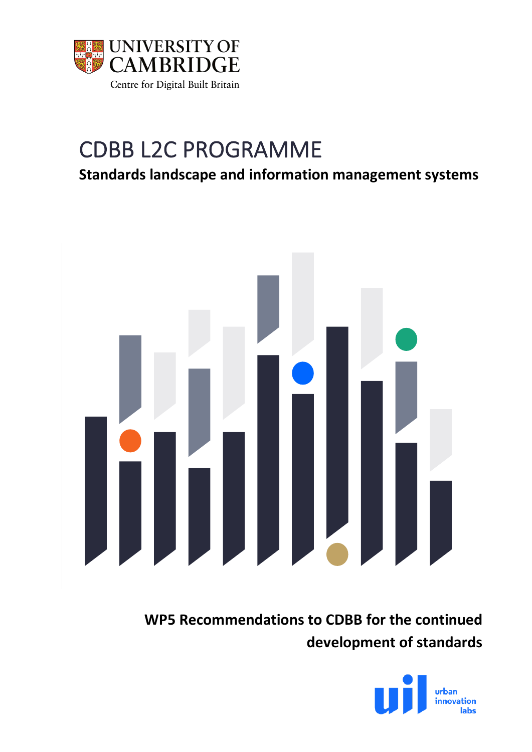

# CDBB L2C PROGRAMME

**Standards landscape and information management systems**



**WP5 Recommendations to CDBB for the continued development of standards**

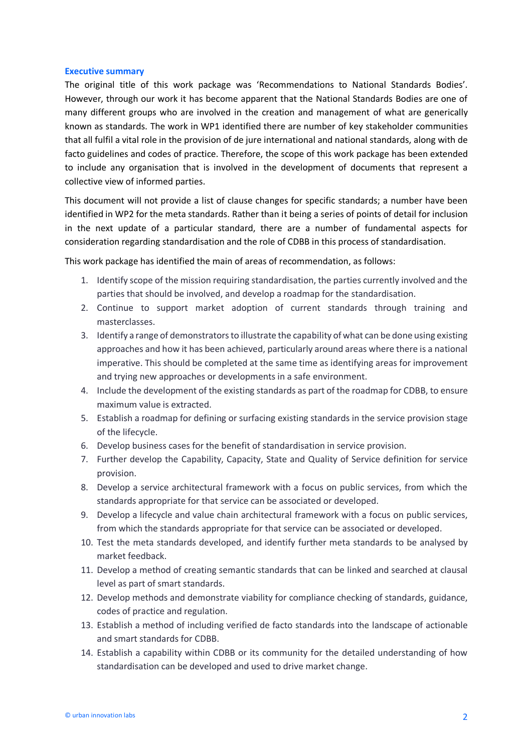#### **Executive summary**

The original title of this work package was 'Recommendations to National Standards Bodies'. However, through our work it has become apparent that the National Standards Bodies are one of many different groups who are involved in the creation and management of what are generically known as standards. The work in WP1 identified there are number of key stakeholder communities that all fulfil a vital role in the provision of de jure international and national standards, along with de facto guidelines and codes of practice. Therefore, the scope of this work package has been extended to include any organisation that is involved in the development of documents that represent a collective view of informed parties.

This document will not provide a list of clause changes for specific standards; a number have been identified in WP2 for the meta standards. Rather than it being a series of points of detail for inclusion in the next update of a particular standard, there are a number of fundamental aspects for consideration regarding standardisation and the role of CDBB in this process of standardisation.

This work package has identified the main of areas of recommendation, as follows:

- 1. Identify scope of the mission requiring standardisation, the parties currently involved and the parties that should be involved, and develop a roadmap for the standardisation.
- 2. Continue to support market adoption of current standards through training and masterclasses.
- 3. Identify a range of demonstrators to illustrate the capability of what can be done using existing approaches and how it has been achieved, particularly around areas where there is a national imperative. This should be completed at the same time as identifying areas for improvement and trying new approaches or developments in a safe environment.
- 4. Include the development of the existing standards as part of the roadmap for CDBB, to ensure maximum value is extracted.
- 5. Establish a roadmap for defining or surfacing existing standards in the service provision stage of the lifecycle.
- 6. Develop business cases for the benefit of standardisation in service provision.
- 7. Further develop the Capability, Capacity, State and Quality of Service definition for service provision.
- 8. Develop a service architectural framework with a focus on public services, from which the standards appropriate for that service can be associated or developed.
- 9. Develop a lifecycle and value chain architectural framework with a focus on public services, from which the standards appropriate for that service can be associated or developed.
- 10. Test the meta standards developed, and identify further meta standards to be analysed by market feedback.
- 11. Develop a method of creating semantic standards that can be linked and searched at clausal level as part of smart standards.
- 12. Develop methods and demonstrate viability for compliance checking of standards, guidance, codes of practice and regulation.
- 13. Establish a method of including verified de facto standards into the landscape of actionable and smart standards for CDBB.
- 14. Establish a capability within CDBB or its community for the detailed understanding of how standardisation can be developed and used to drive market change.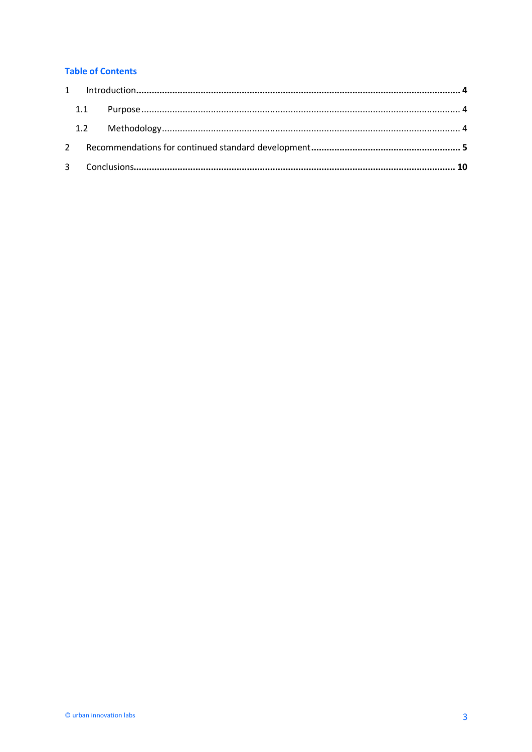# **Table of Contents**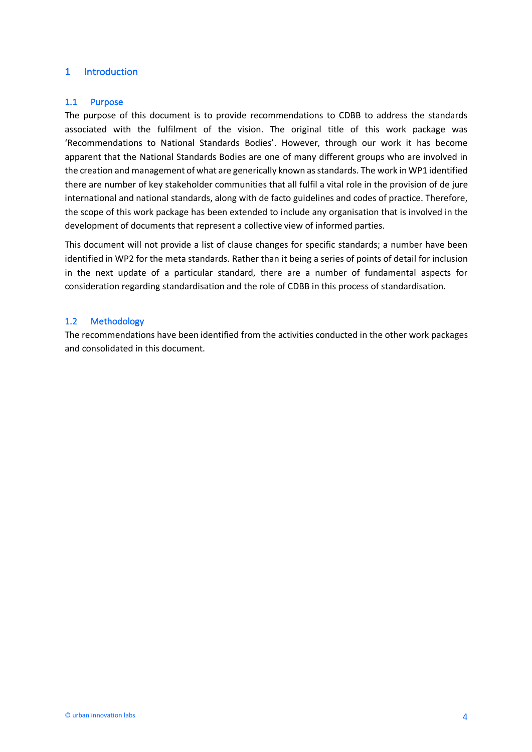# 1 Introduction

#### 1.1 Purpose

The purpose of this document is to provide recommendations to CDBB to address the standards associated with the fulfilment of the vision. The original title of this work package was 'Recommendations to National Standards Bodies'. However, through our work it has become apparent that the National Standards Bodies are one of many different groups who are involved in the creation and management of what are generically known as standards. The work in WP1 identified there are number of key stakeholder communities that all fulfil a vital role in the provision of de jure international and national standards, along with de facto guidelines and codes of practice. Therefore, the scope of this work package has been extended to include any organisation that is involved in the development of documents that represent a collective view of informed parties.

This document will not provide a list of clause changes for specific standards; a number have been identified in WP2 for the meta standards. Rather than it being a series of points of detail for inclusion in the next update of a particular standard, there are a number of fundamental aspects for consideration regarding standardisation and the role of CDBB in this process of standardisation.

#### 1.2 Methodology

The recommendations have been identified from the activities conducted in the other work packages and consolidated in this document.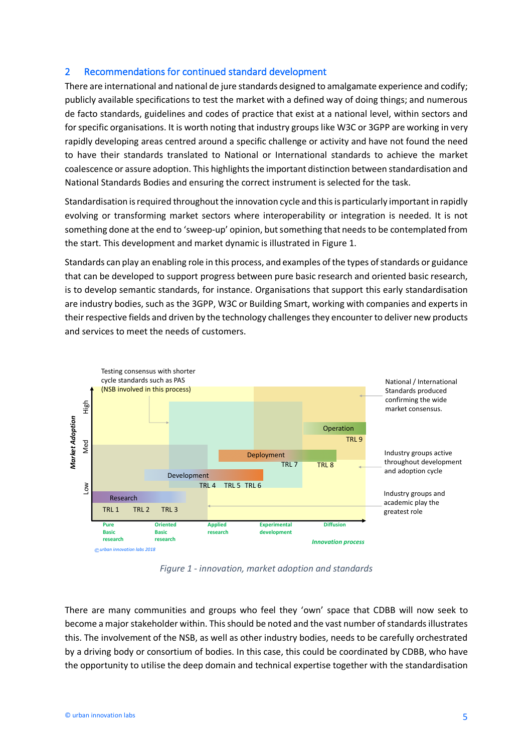# 2 Recommendations for continued standard development

There are international and national de jure standards designed to amalgamate experience and codify; publicly available specifications to test the market with a defined way of doing things; and numerous de facto standards, guidelines and codes of practice that exist at a national level, within sectors and for specific organisations. It is worth noting that industry groups like W3C or 3GPP are working in very rapidly developing areas centred around a specific challenge or activity and have not found the need to have their standards translated to National or International standards to achieve the market coalescence or assure adoption. This highlights the important distinction between standardisation and National Standards Bodies and ensuring the correct instrument is selected for the task.

Standardisation isrequired throughout the innovation cycle and this is particularly important in rapidly evolving or transforming market sectors where interoperability or integration is needed. It is not something done at the end to 'sweep-up' opinion, but something that needs to be contemplated from the start. This development and market dynamic is illustrated in Figure 1.

Standards can play an enabling role in this process, and examples of the types of standards or guidance that can be developed to support progress between pure basic research and oriented basic research, is to develop semantic standards, for instance. Organisations that support this early standardisation are industry bodies, such as the 3GPP, W3C or Building Smart, working with companies and experts in their respective fields and driven by the technology challenges they encounter to deliver new products and services to meet the needs of customers.



*Figure 1 - innovation, market adoption and standards*

There are many communities and groups who feel they 'own' space that CDBB will now seek to become a major stakeholder within. Thisshould be noted and the vast number of standards illustrates this. The involvement of the NSB, as well as other industry bodies, needs to be carefully orchestrated by a driving body or consortium of bodies. In this case, this could be coordinated by CDBB, who have the opportunity to utilise the deep domain and technical expertise together with the standardisation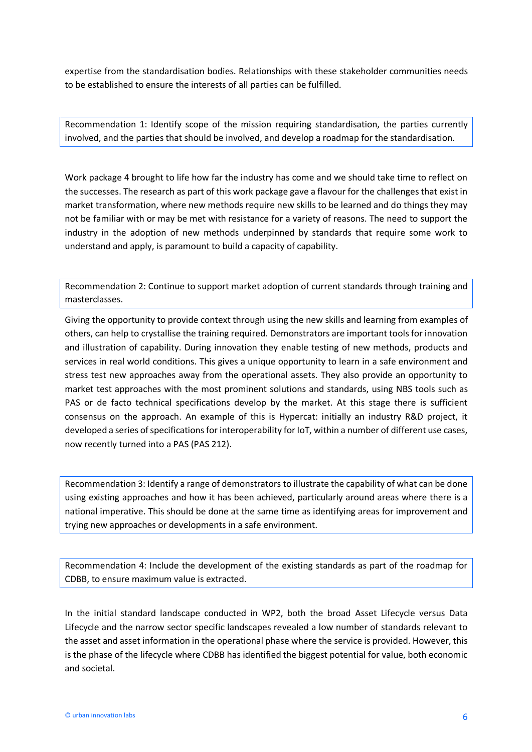expertise from the standardisation bodies. Relationships with these stakeholder communities needs to be established to ensure the interests of all parties can be fulfilled.

Recommendation 1: Identify scope of the mission requiring standardisation, the parties currently involved, and the parties that should be involved, and develop a roadmap for the standardisation.

Work package 4 brought to life how far the industry has come and we should take time to reflect on the successes. The research as part of this work package gave a flavour for the challenges that exist in market transformation, where new methods require new skills to be learned and do things they may not be familiar with or may be met with resistance for a variety of reasons. The need to support the industry in the adoption of new methods underpinned by standards that require some work to understand and apply, is paramount to build a capacity of capability.

Recommendation 2: Continue to support market adoption of current standards through training and masterclasses.

Giving the opportunity to provide context through using the new skills and learning from examples of others, can help to crystallise the training required. Demonstrators are important tools for innovation and illustration of capability. During innovation they enable testing of new methods, products and services in real world conditions. This gives a unique opportunity to learn in a safe environment and stress test new approaches away from the operational assets. They also provide an opportunity to market test approaches with the most prominent solutions and standards, using NBS tools such as PAS or de facto technical specifications develop by the market. At this stage there is sufficient consensus on the approach. An example of this is Hypercat: initially an industry R&D project, it developed a series of specifications for interoperability for IoT, within a number of different use cases, now recently turned into a PAS (PAS 212).

Recommendation 3: Identify a range of demonstrators to illustrate the capability of what can be done using existing approaches and how it has been achieved, particularly around areas where there is a national imperative. This should be done at the same time as identifying areas for improvement and trying new approaches or developments in a safe environment.

Recommendation 4: Include the development of the existing standards as part of the roadmap for CDBB, to ensure maximum value is extracted.

In the initial standard landscape conducted in WP2, both the broad Asset Lifecycle versus Data Lifecycle and the narrow sector specific landscapes revealed a low number of standards relevant to the asset and asset information in the operational phase where the service is provided. However, this is the phase of the lifecycle where CDBB has identified the biggest potential for value, both economic and societal.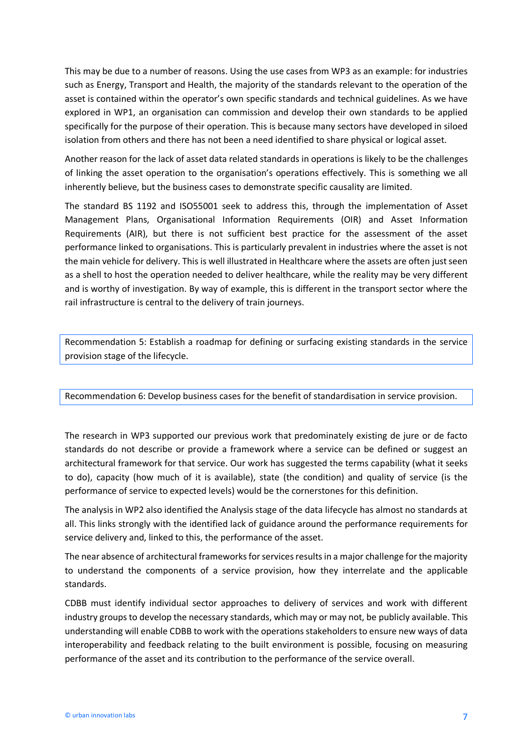This may be due to a number of reasons. Using the use cases from WP3 as an example: for industries such as Energy, Transport and Health, the majority of the standards relevant to the operation of the asset is contained within the operator's own specific standards and technical guidelines. As we have explored in WP1, an organisation can commission and develop their own standards to be applied specifically for the purpose of their operation. This is because many sectors have developed in siloed isolation from others and there has not been a need identified to share physical or logical asset.

Another reason for the lack of asset data related standards in operations is likely to be the challenges of linking the asset operation to the organisation's operations effectively. This is something we all inherently believe, but the business cases to demonstrate specific causality are limited.

The standard BS 1192 and ISO55001 seek to address this, through the implementation of Asset Management Plans, Organisational Information Requirements (OIR) and Asset Information Requirements (AIR), but there is not sufficient best practice for the assessment of the asset performance linked to organisations. This is particularly prevalent in industries where the asset is not the main vehicle for delivery. This is well illustrated in Healthcare where the assets are often just seen as a shell to host the operation needed to deliver healthcare, while the reality may be very different and is worthy of investigation. By way of example, this is different in the transport sector where the rail infrastructure is central to the delivery of train journeys.

Recommendation 5: Establish a roadmap for defining or surfacing existing standards in the service provision stage of the lifecycle.

### Recommendation 6: Develop business cases for the benefit of standardisation in service provision.

The research in WP3 supported our previous work that predominately existing de jure or de facto standards do not describe or provide a framework where a service can be defined or suggest an architectural framework for that service. Our work has suggested the terms capability (what it seeks to do), capacity (how much of it is available), state (the condition) and quality of service (is the performance of service to expected levels) would be the cornerstones for this definition.

The analysis in WP2 also identified the Analysis stage of the data lifecycle has almost no standards at all. This links strongly with the identified lack of guidance around the performance requirements for service delivery and, linked to this, the performance of the asset.

The near absence of architectural frameworks for services results in a major challenge for the majority to understand the components of a service provision, how they interrelate and the applicable standards.

CDBB must identify individual sector approaches to delivery of services and work with different industry groups to develop the necessary standards, which may or may not, be publicly available. This understanding will enable CDBB to work with the operations stakeholders to ensure new ways of data interoperability and feedback relating to the built environment is possible, focusing on measuring performance of the asset and its contribution to the performance of the service overall.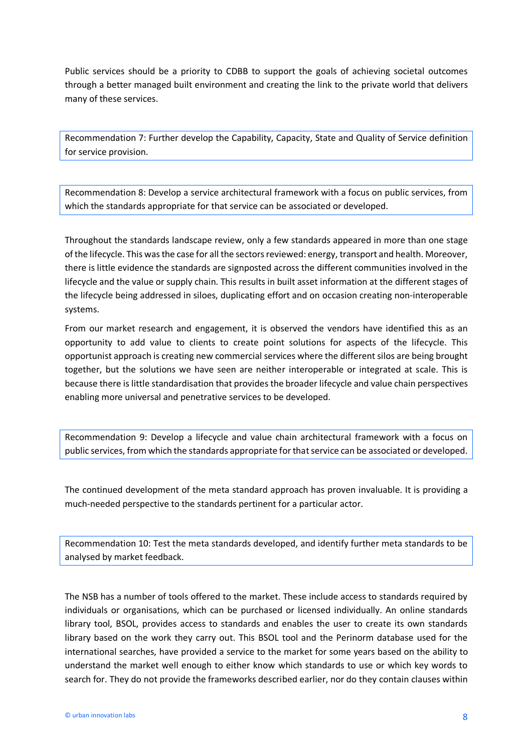Public services should be a priority to CDBB to support the goals of achieving societal outcomes through a better managed built environment and creating the link to the private world that delivers many of these services.

Recommendation 7: Further develop the Capability, Capacity, State and Quality of Service definition for service provision.

Recommendation 8: Develop a service architectural framework with a focus on public services, from which the standards appropriate for that service can be associated or developed.

Throughout the standards landscape review, only a few standards appeared in more than one stage of the lifecycle. This was the case for all the sectors reviewed: energy, transport and health. Moreover, there is little evidence the standards are signposted across the different communities involved in the lifecycle and the value or supply chain. This results in built asset information at the different stages of the lifecycle being addressed in siloes, duplicating effort and on occasion creating non-interoperable systems.

From our market research and engagement, it is observed the vendors have identified this as an opportunity to add value to clients to create point solutions for aspects of the lifecycle. This opportunist approach is creating new commercial services where the different silos are being brought together, but the solutions we have seen are neither interoperable or integrated at scale. This is because there is little standardisation that provides the broader lifecycle and value chain perspectives enabling more universal and penetrative services to be developed.

Recommendation 9: Develop a lifecycle and value chain architectural framework with a focus on public services, from which the standards appropriate for that service can be associated or developed.

The continued development of the meta standard approach has proven invaluable. It is providing a much-needed perspective to the standards pertinent for a particular actor.

Recommendation 10: Test the meta standards developed, and identify further meta standards to be analysed by market feedback.

The NSB has a number of tools offered to the market. These include access to standards required by individuals or organisations, which can be purchased or licensed individually. An online standards library tool, BSOL, provides access to standards and enables the user to create its own standards library based on the work they carry out. This BSOL tool and the Perinorm database used for the international searches, have provided a service to the market for some years based on the ability to understand the market well enough to either know which standards to use or which key words to search for. They do not provide the frameworks described earlier, nor do they contain clauses within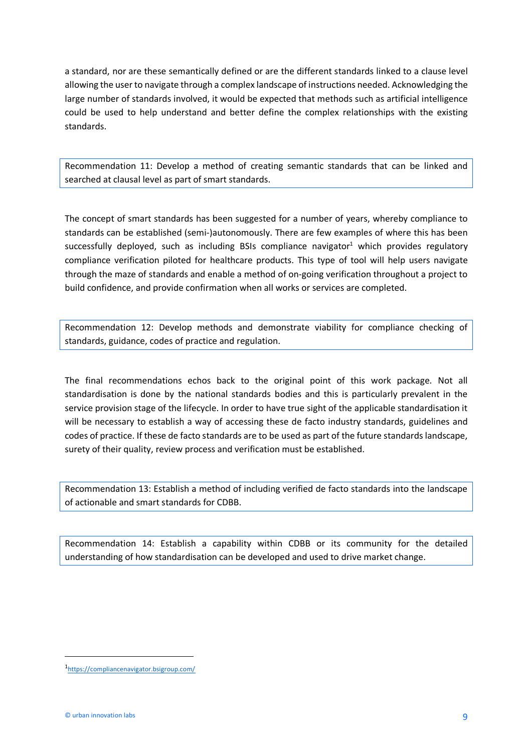a standard, nor are these semantically defined or are the different standards linked to a clause level allowing the user to navigate through a complex landscape of instructions needed. Acknowledging the large number of standards involved, it would be expected that methods such as artificial intelligence could be used to help understand and better define the complex relationships with the existing standards.

Recommendation 11: Develop a method of creating semantic standards that can be linked and searched at clausal level as part of smart standards.

The concept of smart standards has been suggested for a number of years, whereby compliance to standards can be established (semi-)autonomously. There are few examples of where this has been successfully deployed, such as including BSIs compliance navigator<sup>1</sup> which provides regulatory compliance verification piloted for healthcare products. This type of tool will help users navigate through the maze of standards and enable a method of on-going verification throughout a project to build confidence, and provide confirmation when all works or services are completed.

Recommendation 12: Develop methods and demonstrate viability for compliance checking of standards, guidance, codes of practice and regulation.

The final recommendations echos back to the original point of this work package. Not all standardisation is done by the national standards bodies and this is particularly prevalent in the service provision stage of the lifecycle. In order to have true sight of the applicable standardisation it will be necessary to establish a way of accessing these de facto industry standards, guidelines and codes of practice. If these de facto standards are to be used as part of the future standards landscape, surety of their quality, review process and verification must be established.

Recommendation 13: Establish a method of including verified de facto standards into the landscape of actionable and smart standards for CDBB.

Recommendation 14: Establish a capability within CDBB or its community for the detailed understanding of how standardisation can be developed and used to drive market change.

 $\overline{1}$ https://compliancenavigator.bsigroup.com/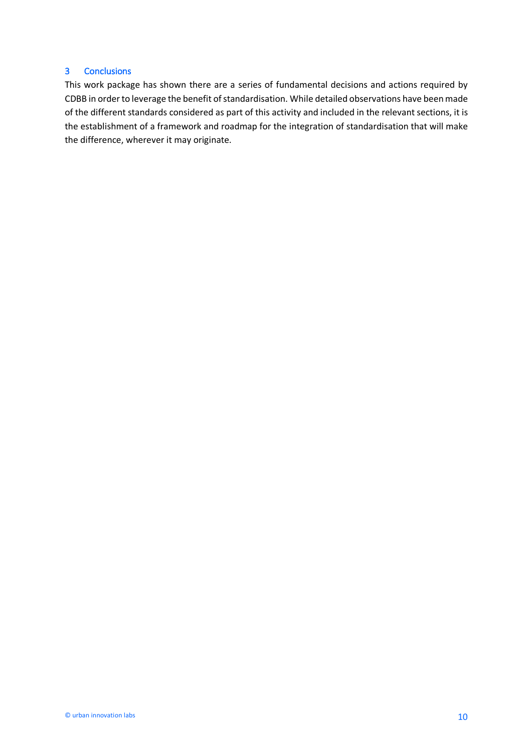## 3 Conclusions

This work package has shown there are a series of fundamental decisions and actions required by CDBB in order to leverage the benefit of standardisation. While detailed observations have been made of the different standards considered as part of this activity and included in the relevant sections, it is the establishment of a framework and roadmap for the integration of standardisation that will make the difference, wherever it may originate.